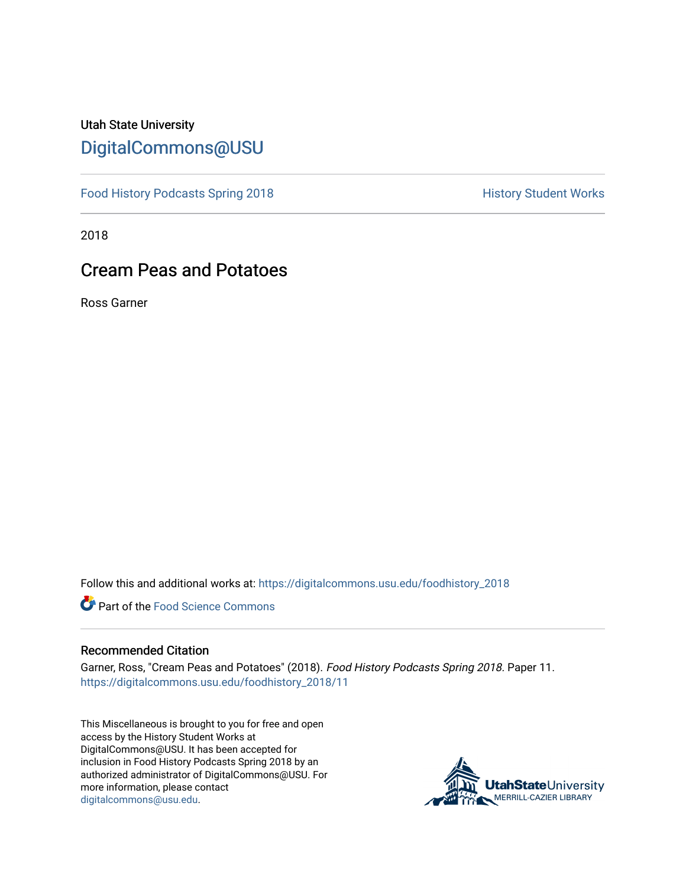## Utah State University [DigitalCommons@USU](https://digitalcommons.usu.edu/)

[Food History Podcasts Spring 2018](https://digitalcommons.usu.edu/foodhistory_2018) **History Student Works** 

2018

## Cream Peas and Potatoes

Ross Garner

Follow this and additional works at: [https://digitalcommons.usu.edu/foodhistory\\_2018](https://digitalcommons.usu.edu/foodhistory_2018?utm_source=digitalcommons.usu.edu%2Ffoodhistory_2018%2F11&utm_medium=PDF&utm_campaign=PDFCoverPages) 

**C** Part of the Food Science Commons

## Recommended Citation

Garner, Ross, "Cream Peas and Potatoes" (2018). Food History Podcasts Spring 2018. Paper 11. [https://digitalcommons.usu.edu/foodhistory\\_2018/11](https://digitalcommons.usu.edu/foodhistory_2018/11?utm_source=digitalcommons.usu.edu%2Ffoodhistory_2018%2F11&utm_medium=PDF&utm_campaign=PDFCoverPages)

This Miscellaneous is brought to you for free and open access by the History Student Works at DigitalCommons@USU. It has been accepted for inclusion in Food History Podcasts Spring 2018 by an authorized administrator of DigitalCommons@USU. For more information, please contact [digitalcommons@usu.edu.](mailto:digitalcommons@usu.edu)